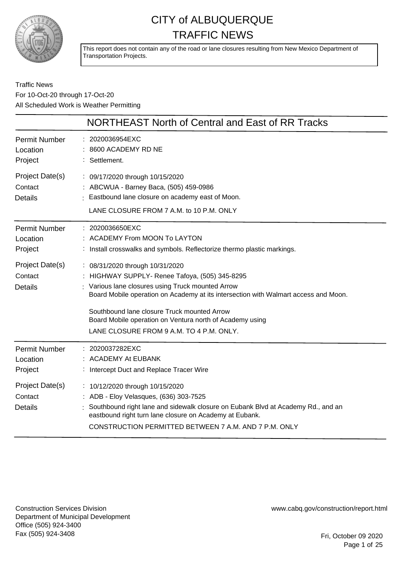

This report does not contain any of the road or lane closures resulting from New Mexico Department of Transportation Projects.

### Traffic News For 10-Oct-20 through 17-Oct-20 All Scheduled Work is Weather Permitting

|                                              | <b>NORTHEAST North of Central and East of RR Tracks</b>                                                                                                                                                                                                                                                                                                                              |
|----------------------------------------------|--------------------------------------------------------------------------------------------------------------------------------------------------------------------------------------------------------------------------------------------------------------------------------------------------------------------------------------------------------------------------------------|
| <b>Permit Number</b><br>Location<br>Project  | : 2020036954EXC<br>8600 ACADEMY RD NE<br>: Settlement.                                                                                                                                                                                                                                                                                                                               |
| Project Date(s)<br>Contact<br><b>Details</b> | : 09/17/2020 through 10/15/2020<br>: ABCWUA - Barney Baca, (505) 459-0986<br>: Eastbound lane closure on academy east of Moon.<br>LANE CLOSURE FROM 7 A.M. to 10 P.M. ONLY                                                                                                                                                                                                           |
| <b>Permit Number</b><br>Location<br>Project  | : 2020036650EXC<br>: ACADEMY From MOON To LAYTON<br>: Install crosswalks and symbols. Reflectorize thermo plastic markings.                                                                                                                                                                                                                                                          |
| Project Date(s)<br>Contact<br><b>Details</b> | : 08/31/2020 through 10/31/2020<br>: HIGHWAY SUPPLY- Renee Tafoya, (505) 345-8295<br>: Various lane closures using Truck mounted Arrow<br>Board Mobile operation on Academy at its intersection with Walmart access and Moon.<br>Southbound lane closure Truck mounted Arrow<br>Board Mobile operation on Ventura north of Academy using<br>LANE CLOSURE FROM 9 A.M. TO 4 P.M. ONLY. |
| <b>Permit Number</b><br>Location<br>Project  | : 2020037282EXC<br><b>ACADEMY At EUBANK</b><br>: Intercept Duct and Replace Tracer Wire                                                                                                                                                                                                                                                                                              |
| Project Date(s)<br>Contact<br><b>Details</b> | : 10/12/2020 through 10/15/2020<br>: ADB - Eloy Velasques, (636) 303-7525<br>Southbound right lane and sidewalk closure on Eubank Blvd at Academy Rd., and an<br>eastbound right turn lane closure on Academy at Eubank.<br>CONSTRUCTION PERMITTED BETWEEN 7 A.M. AND 7 P.M. ONLY                                                                                                    |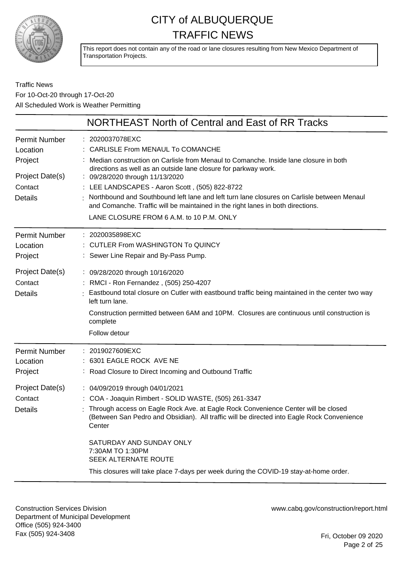

This report does not contain any of the road or lane closures resulting from New Mexico Department of Transportation Projects.

### Traffic News For 10-Oct-20 through 17-Oct-20 All Scheduled Work is Weather Permitting

| NORTHEAST North of Central and East of RR Tracks                                                                                                                                                                                                                                                                                                                                                                                                                                                                                 |
|----------------------------------------------------------------------------------------------------------------------------------------------------------------------------------------------------------------------------------------------------------------------------------------------------------------------------------------------------------------------------------------------------------------------------------------------------------------------------------------------------------------------------------|
| : 2020037078EXC<br>CARLISLE From MENAUL To COMANCHE<br>Median construction on Carlisle from Menaul to Comanche. Inside lane closure in both<br>directions as well as an outside lane closure for parkway work.<br>: 09/28/2020 through 11/13/2020<br>: LEE LANDSCAPES - Aaron Scott, (505) 822-8722<br>Northbound and Southbound left lane and left turn lane closures on Carlisle between Menaul<br>and Comanche. Traffic will be maintained in the right lanes in both directions.<br>LANE CLOSURE FROM 6 A.M. to 10 P.M. ONLY |
| : 2020035898EXC<br>: CUTLER From WASHINGTON To QUINCY<br>: Sewer Line Repair and By-Pass Pump.                                                                                                                                                                                                                                                                                                                                                                                                                                   |
| : 09/28/2020 through 10/16/2020<br>: RMCI - Ron Fernandez, (505) 250-4207<br>Eastbound total closure on Cutler with eastbound traffic being maintained in the center two way<br>left turn lane.<br>Construction permitted between 6AM and 10PM. Closures are continuous until construction is<br>complete<br>Follow detour                                                                                                                                                                                                       |
| : 2019027609EXC<br>: 6301 EAGLE ROCK AVE NE<br>: Road Closure to Direct Incoming and Outbound Traffic                                                                                                                                                                                                                                                                                                                                                                                                                            |
| : 04/09/2019 through 04/01/2021<br>: COA - Joaquin Rimbert - SOLID WASTE, (505) 261-3347<br>: Through access on Eagle Rock Ave. at Eagle Rock Convenience Center will be closed<br>(Between San Pedro and Obsidian). All traffic will be directed into Eagle Rock Convenience<br>Center<br>SATURDAY AND SUNDAY ONLY<br>7:30AM TO 1:30PM<br>SEEK ALTERNATE ROUTE<br>This closures will take place 7-days per week during the COVID-19 stay-at-home order.                                                                         |
|                                                                                                                                                                                                                                                                                                                                                                                                                                                                                                                                  |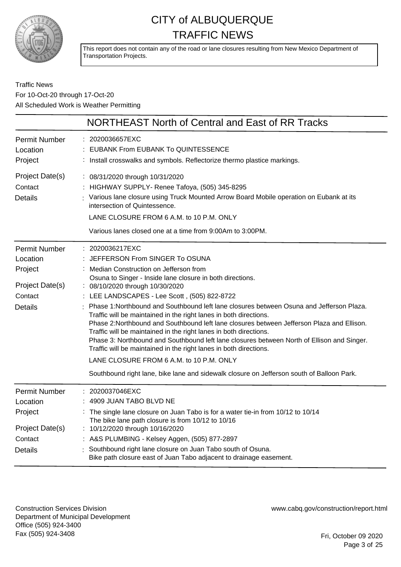

This report does not contain any of the road or lane closures resulting from New Mexico Department of Transportation Projects.

### Traffic News For 10-Oct-20 through 17-Oct-20 All Scheduled Work is Weather Permitting

| NORTHEAST North of Central and East of RR Tracks                                                                                                                                                                                                                                                                                                                                                                                                                                                                                                                                                                                                                                                                                                                                                                                                                                        |
|-----------------------------------------------------------------------------------------------------------------------------------------------------------------------------------------------------------------------------------------------------------------------------------------------------------------------------------------------------------------------------------------------------------------------------------------------------------------------------------------------------------------------------------------------------------------------------------------------------------------------------------------------------------------------------------------------------------------------------------------------------------------------------------------------------------------------------------------------------------------------------------------|
| : 2020036657EXC<br><b>EUBANK From EUBANK To QUINTESSENCE</b><br>Install crosswalks and symbols. Reflectorize thermo plastice markings.                                                                                                                                                                                                                                                                                                                                                                                                                                                                                                                                                                                                                                                                                                                                                  |
| : 08/31/2020 through 10/31/2020<br>: HIGHWAY SUPPLY- Renee Tafoya, (505) 345-8295<br>: Various lane closure using Truck Mounted Arrow Board Mobile operation on Eubank at its<br>intersection of Quintessence.<br>LANE CLOSURE FROM 6 A.M. to 10 P.M. ONLY<br>Various lanes closed one at a time from 9:00Am to 3:00PM.                                                                                                                                                                                                                                                                                                                                                                                                                                                                                                                                                                 |
| : 2020036217EXC<br>JEFFERSON From SINGER To OSUNA<br>Median Construction on Jefferson from<br>Osuna to Singer - Inside lane closure in both directions.<br>: 08/10/2020 through 10/30/2020<br>LEE LANDSCAPES - Lee Scott, (505) 822-8722<br>Phase 1:Northbound and Southbound left lane closures between Osuna and Jefferson Plaza.<br>Traffic will be maintained in the right lanes in both directions.<br>Phase 2: Northbound and Southbound left lane closures between Jefferson Plaza and Ellison.<br>Traffic will be maintained in the right lanes in both directions.<br>Phase 3: Northbound and Southbound left lane closures between North of Ellison and Singer.<br>Traffic will be maintained in the right lanes in both directions.<br>LANE CLOSURE FROM 6 A.M. to 10 P.M. ONLY<br>Southbound right lane, bike lane and sidewalk closure on Jefferson south of Balloon Park. |
| 2020037046EXC<br>4909 JUAN TABO BLVD NE<br>The single lane closure on Juan Tabo is for a water tie-in from 10/12 to 10/14<br>The bike lane path closure is from 10/12 to 10/16<br>: 10/12/2020 through 10/16/2020<br>: A&S PLUMBING - Kelsey Aggen, (505) 877-2897<br>Southbound right lane closure on Juan Tabo south of Osuna.<br>Bike path closure east of Juan Tabo adjacent to drainage easement.                                                                                                                                                                                                                                                                                                                                                                                                                                                                                  |
|                                                                                                                                                                                                                                                                                                                                                                                                                                                                                                                                                                                                                                                                                                                                                                                                                                                                                         |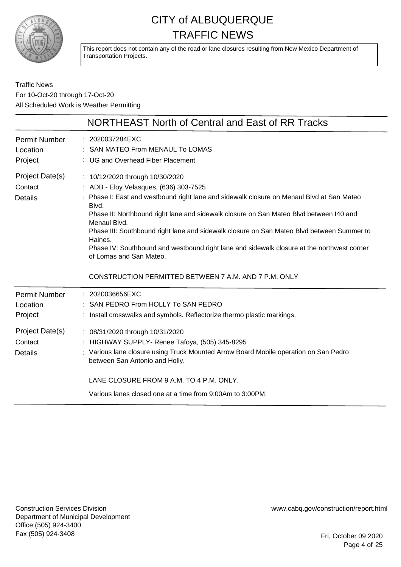

This report does not contain any of the road or lane closures resulting from New Mexico Department of Transportation Projects.

Traffic News For 10-Oct-20 through 17-Oct-20 All Scheduled Work is Weather Permitting

|                                                                                             | NORTHEAST North of Central and East of RR Tracks                                                                                                                                                                                                                                                                                                                                                                                                                                                                                                                                  |
|---------------------------------------------------------------------------------------------|-----------------------------------------------------------------------------------------------------------------------------------------------------------------------------------------------------------------------------------------------------------------------------------------------------------------------------------------------------------------------------------------------------------------------------------------------------------------------------------------------------------------------------------------------------------------------------------|
| <b>Permit Number</b><br>Location<br>Project                                                 | : 2020037284EXC<br>: SAN MATEO From MENAUL To LOMAS<br>: UG and Overhead Fiber Placement                                                                                                                                                                                                                                                                                                                                                                                                                                                                                          |
| Project Date(s)<br>Contact<br><b>Details</b>                                                | : 10/12/2020 through 10/30/2020<br>: ADB - Eloy Velasques, (636) 303-7525<br>Phase I: East and westbound right lane and sidewalk closure on Menaul Blvd at San Mateo<br>Blvd.<br>Phase II: Northbound right lane and sidewalk closure on San Mateo Blvd between I40 and<br>Menaul Blvd.<br>Phase III: Southbound right lane and sidewalk closure on San Mateo Blvd between Summer to<br>Haines.<br>Phase IV: Southbound and westbound right lane and sidewalk closure at the northwest corner<br>of Lomas and San Mateo.<br>CONSTRUCTION PERMITTED BETWEEN 7 A.M. AND 7 P.M. ONLY |
| <b>Permit Number</b><br>Location<br>Project<br>Project Date(s)<br>Contact<br><b>Details</b> | : 2020036656EXC<br>: SAN PEDRO From HOLLY To SAN PEDRO<br>Install crosswalks and symbols. Reflectorize thermo plastic markings.<br>: 08/31/2020 through 10/31/2020<br>HIGHWAY SUPPLY- Renee Tafoya, (505) 345-8295<br>: Various lane closure using Truck Mounted Arrow Board Mobile operation on San Pedro<br>between San Antonio and Holly.<br>LANE CLOSURE FROM 9 A.M. TO 4 P.M. ONLY.                                                                                                                                                                                          |
|                                                                                             | Various lanes closed one at a time from 9:00Am to 3:00PM.                                                                                                                                                                                                                                                                                                                                                                                                                                                                                                                         |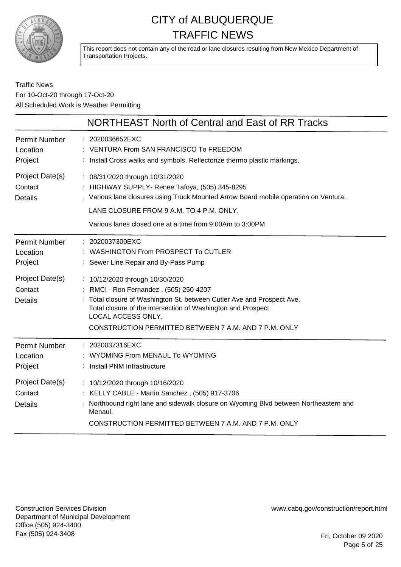

This report does not contain any of the road or lane closures resulting from New Mexico Department of Transportation Projects.

### Traffic News For 10-Oct-20 through 17-Oct-20 All Scheduled Work is Weather Permitting

|                                                                           | NORTHEAST North of Central and East of RR Tracks                                                                                                                                                                                                                                   |
|---------------------------------------------------------------------------|------------------------------------------------------------------------------------------------------------------------------------------------------------------------------------------------------------------------------------------------------------------------------------|
| <b>Permit Number</b><br>Location<br>Project                               | : 2020036652EXC<br>: VENTURA From SAN FRANCISCO To FREEDOM<br>: Install Cross walks and symbols. Reflectorize thermo plastic markings.                                                                                                                                             |
| Project Date(s)<br>Contact<br><b>Details</b>                              | : 08/31/2020 through 10/31/2020<br>: HIGHWAY SUPPLY- Renee Tafoya, (505) 345-8295<br>: Various lane closures using Truck Mounted Arrow Board mobile operation on Ventura.<br>LANE CLOSURE FROM 9 A.M. TO 4 P.M. ONLY.<br>Various lanes closed one at a time from 9:00Am to 3:00PM. |
| <b>Permit Number</b><br>Location<br>Project<br>Project Date(s)<br>Contact | : 2020037300EXC<br>: WASHINGTON From PROSPECT To CUTLER<br>: Sewer Line Repair and By-Pass Pump<br>: 10/12/2020 through 10/30/2020<br>: RMCI - Ron Fernandez, (505) 250-4207                                                                                                       |
| <b>Details</b>                                                            | Total closure of Washington St. between Cutler Ave and Prospect Ave.<br>Total closure of the intersection of Washington and Prospect.<br>LOCAL ACCESS ONLY.<br>CONSTRUCTION PERMITTED BETWEEN 7 A.M. AND 7 P.M. ONLY                                                               |
| <b>Permit Number</b><br>Location<br>Project                               | : 2020037316EXC<br>: WYOMING From MENAUL To WYOMING<br>: Install PNM Infrastructure                                                                                                                                                                                                |
| Project Date(s)<br>Contact<br><b>Details</b>                              | : 10/12/2020 through 10/16/2020<br>: KELLY CABLE - Martin Sanchez, (505) 917-3706<br>Northbound right lane and sidewalk closure on Wyoming Blvd between Northeastern and<br>Menaul.<br>CONSTRUCTION PERMITTED BETWEEN 7 A.M. AND 7 P.M. ONLY                                       |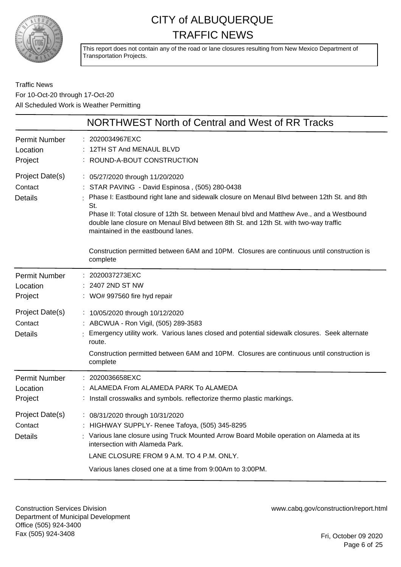

This report does not contain any of the road or lane closures resulting from New Mexico Department of Transportation Projects.

Traffic News For 10-Oct-20 through 17-Oct-20 All Scheduled Work is Weather Permitting

|                                              | NORTHWEST North of Central and West of RR Tracks                                                                                                                                                                                                                                                                                                                                                                  |
|----------------------------------------------|-------------------------------------------------------------------------------------------------------------------------------------------------------------------------------------------------------------------------------------------------------------------------------------------------------------------------------------------------------------------------------------------------------------------|
| <b>Permit Number</b><br>Location<br>Project  | : 2020034967EXC<br>12TH ST And MENAUL BLVD<br>: ROUND-A-BOUT CONSTRUCTION                                                                                                                                                                                                                                                                                                                                         |
| Project Date(s)<br>Contact<br><b>Details</b> | : 05/27/2020 through 11/20/2020<br>: STAR PAVING - David Espinosa, (505) 280-0438<br>Phase I: Eastbound right lane and sidewalk closure on Menaul Blvd between 12th St. and 8th<br>St.<br>Phase II: Total closure of 12th St. between Menaul blvd and Matthew Ave., and a Westbound<br>double lane closure on Menaul Blvd between 8th St. and 12th St. with two-way traffic<br>maintained in the eastbound lanes. |
|                                              | Construction permitted between 6AM and 10PM. Closures are continuous until construction is<br>complete                                                                                                                                                                                                                                                                                                            |
| <b>Permit Number</b><br>Location<br>Project  | 2020037273EXC<br>2407 2ND ST NW<br>: WO# 997560 fire hyd repair                                                                                                                                                                                                                                                                                                                                                   |
| Project Date(s)<br>Contact<br><b>Details</b> | : 10/05/2020 through 10/12/2020<br>: ABCWUA - Ron Vigil, (505) 289-3583<br>Emergency utility work. Various lanes closed and potential sidewalk closures. Seek alternate<br>route.<br>Construction permitted between 6AM and 10PM. Closures are continuous until construction is<br>complete                                                                                                                       |
| <b>Permit Number</b><br>Location<br>Project  | : 2020036658EXC<br>: ALAMEDA From ALAMEDA PARK To ALAMEDA<br>: Install crosswalks and symbols. reflectorize thermo plastic markings.                                                                                                                                                                                                                                                                              |
| Project Date(s)<br>Contact<br><b>Details</b> | : 08/31/2020 through 10/31/2020<br>: HIGHWAY SUPPLY- Renee Tafoya, (505) 345-8295<br>Various lane closure using Truck Mounted Arrow Board Mobile operation on Alameda at its<br>intersection with Alameda Park.<br>LANE CLOSURE FROM 9 A.M. TO 4 P.M. ONLY.<br>Various lanes closed one at a time from 9:00Am to 3:00PM.                                                                                          |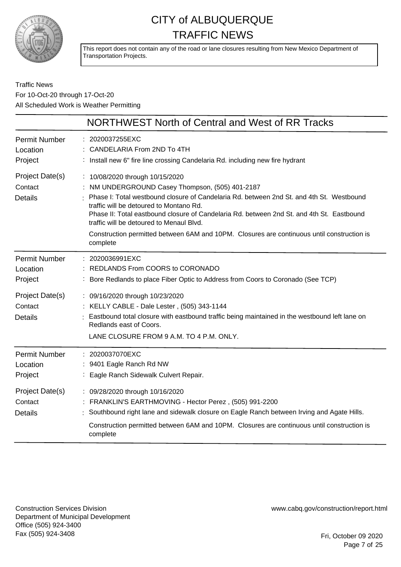

This report does not contain any of the road or lane closures resulting from New Mexico Department of Transportation Projects.

Traffic News For 10-Oct-20 through 17-Oct-20 All Scheduled Work is Weather Permitting

|                                              | NORTHWEST North of Central and West of RR Tracks                                                                                                                                                                                                                                                                                                                                                                                                                           |
|----------------------------------------------|----------------------------------------------------------------------------------------------------------------------------------------------------------------------------------------------------------------------------------------------------------------------------------------------------------------------------------------------------------------------------------------------------------------------------------------------------------------------------|
| <b>Permit Number</b><br>Location<br>Project  | : 2020037255EXC<br>: CANDELARIA From 2ND To 4TH<br>: Install new 6" fire line crossing Candelaria Rd. including new fire hydrant                                                                                                                                                                                                                                                                                                                                           |
| Project Date(s)<br>Contact<br><b>Details</b> | : 10/08/2020 through 10/15/2020<br>NM UNDERGROUND Casey Thompson, (505) 401-2187<br>Phase I: Total westbound closure of Candelaria Rd. between 2nd St. and 4th St. Westbound<br>traffic will be detoured to Montano Rd.<br>Phase II: Total eastbound closure of Candelaria Rd. between 2nd St. and 4th St. Eastbound<br>traffic will be detoured to Menaul Blyd.<br>Construction permitted between 6AM and 10PM. Closures are continuous until construction is<br>complete |
| <b>Permit Number</b><br>Location<br>Project  | : 2020036991EXC<br>REDLANDS From COORS to CORONADO<br>: Bore Redlands to place Fiber Optic to Address from Coors to Coronado (See TCP)                                                                                                                                                                                                                                                                                                                                     |
| Project Date(s)<br>Contact<br><b>Details</b> | : 09/16/2020 through 10/23/2020<br>: KELLY CABLE - Dale Lester, (505) 343-1144<br>: Eastbound total closure with eastbound traffic being maintained in the westbound left lane on<br>Redlands east of Coors.<br>LANE CLOSURE FROM 9 A.M. TO 4 P.M. ONLY.                                                                                                                                                                                                                   |
| <b>Permit Number</b><br>Location<br>Project  | : 2020037070EXC<br>: 9401 Eagle Ranch Rd NW<br>Eagle Ranch Sidewalk Culvert Repair.                                                                                                                                                                                                                                                                                                                                                                                        |
| Project Date(s)<br>Contact<br><b>Details</b> | : 09/28/2020 through 10/16/2020<br>FRANKLIN'S EARTHMOVING - Hector Perez, (505) 991-2200<br>Southbound right lane and sidewalk closure on Eagle Ranch between Irving and Agate Hills.<br>Construction permitted between 6AM and 10PM. Closures are continuous until construction is<br>complete                                                                                                                                                                            |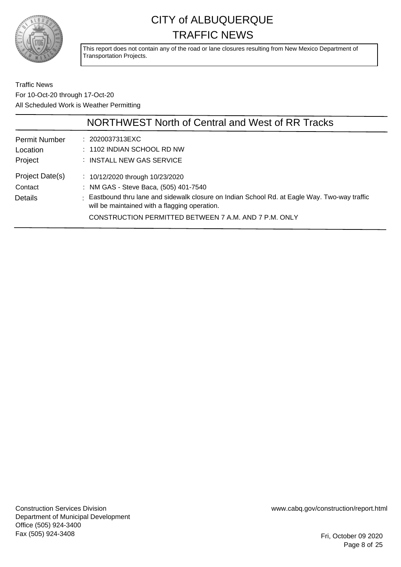

This report does not contain any of the road or lane closures resulting from New Mexico Department of Transportation Projects.

Traffic News For 10-Oct-20 through 17-Oct-20 All Scheduled Work is Weather Permitting

|                                              | NORTHWEST North of Central and West of RR Tracks                                                                                                                                                                                                                                        |
|----------------------------------------------|-----------------------------------------------------------------------------------------------------------------------------------------------------------------------------------------------------------------------------------------------------------------------------------------|
| <b>Permit Number</b><br>Location<br>Project  | : 2020037313EXC<br>: 1102 INDIAN SCHOOL RD NW<br>: INSTALL NEW GAS SERVICE                                                                                                                                                                                                              |
| Project Date(s)<br>Contact<br><b>Details</b> | : $10/12/2020$ through $10/23/2020$<br>: NM GAS - Steve Baca, (505) 401-7540<br>: Eastbound thru lane and sidewalk closure on Indian School Rd. at Eagle Way. Two-way traffic<br>will be maintained with a flagging operation.<br>CONSTRUCTION PERMITTED BETWEEN 7 A.M. AND 7 P.M. ONLY |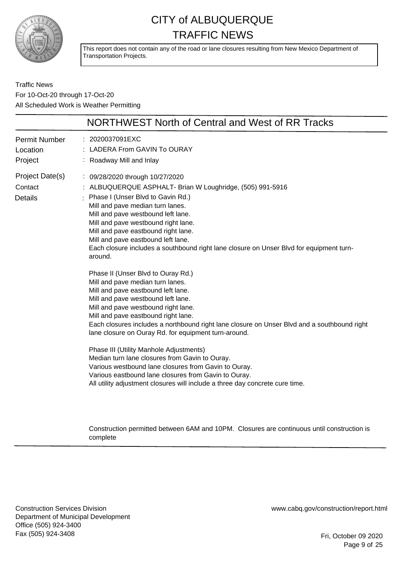

This report does not contain any of the road or lane closures resulting from New Mexico Department of Transportation Projects.

Traffic News For 10-Oct-20 through 17-Oct-20 All Scheduled Work is Weather Permitting

|                                              | NORTHWEST North of Central and West of RR Tracks                                                                                                                                                                                                                                                                                                                                                                                                                                                                                                                                                                                                                                                                                                                                                                                                                                                                                                                                                                                                                                                                              |
|----------------------------------------------|-------------------------------------------------------------------------------------------------------------------------------------------------------------------------------------------------------------------------------------------------------------------------------------------------------------------------------------------------------------------------------------------------------------------------------------------------------------------------------------------------------------------------------------------------------------------------------------------------------------------------------------------------------------------------------------------------------------------------------------------------------------------------------------------------------------------------------------------------------------------------------------------------------------------------------------------------------------------------------------------------------------------------------------------------------------------------------------------------------------------------------|
| <b>Permit Number</b><br>Location<br>Project  | : 2020037091EXC<br>LADERA From GAVIN To OURAY<br>Roadway Mill and Inlay<br>÷                                                                                                                                                                                                                                                                                                                                                                                                                                                                                                                                                                                                                                                                                                                                                                                                                                                                                                                                                                                                                                                  |
| Project Date(s)<br>Contact<br><b>Details</b> | : 09/28/2020 through 10/27/2020<br>: ALBUQUERQUE ASPHALT- Brian W Loughridge, (505) 991-5916<br>Phase I (Unser Blvd to Gavin Rd.)<br>Mill and pave median turn lanes.<br>Mill and pave westbound left lane.<br>Mill and pave westbound right lane.<br>Mill and pave eastbound right lane.<br>Mill and pave eastbound left lane.<br>Each closure includes a southbound right lane closure on Unser Blvd for equipment turn-<br>around.<br>Phase II (Unser Blvd to Ouray Rd.)<br>Mill and pave median turn lanes.<br>Mill and pave eastbound left lane.<br>Mill and pave westbound left lane.<br>Mill and pave westbound right lane.<br>Mill and pave eastbound right lane.<br>Each closures includes a northbound right lane closure on Unser Blvd and a southbound right<br>lane closure on Ouray Rd. for equipment turn-around.<br>Phase III (Utility Manhole Adjustments)<br>Median turn lane closures from Gavin to Ouray.<br>Various westbound lane closures from Gavin to Ouray.<br>Various eastbound lane closures from Gavin to Ouray.<br>All utility adjustment closures will include a three day concrete cure time. |
|                                              |                                                                                                                                                                                                                                                                                                                                                                                                                                                                                                                                                                                                                                                                                                                                                                                                                                                                                                                                                                                                                                                                                                                               |

Construction permitted between 6AM and 10PM. Closures are continuous until construction is complete

Construction Services Division Department of Municipal Development Office (505) 924-3400 Fax (505) 924-3408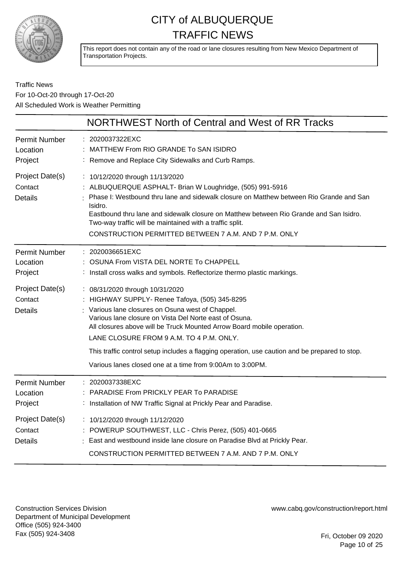

This report does not contain any of the road or lane closures resulting from New Mexico Department of Transportation Projects.

### Traffic News For 10-Oct-20 through 17-Oct-20 All Scheduled Work is Weather Permitting

|                                              | NORTHWEST North of Central and West of RR Tracks                                                                                                                                                                                                                                                                                                                                                                         |
|----------------------------------------------|--------------------------------------------------------------------------------------------------------------------------------------------------------------------------------------------------------------------------------------------------------------------------------------------------------------------------------------------------------------------------------------------------------------------------|
| <b>Permit Number</b><br>Location<br>Project  | : 2020037322EXC<br>MATTHEW From RIO GRANDE To SAN ISIDRO<br>: Remove and Replace City Sidewalks and Curb Ramps.                                                                                                                                                                                                                                                                                                          |
| Project Date(s)<br>Contact<br><b>Details</b> | : 10/12/2020 through 11/13/2020<br>: ALBUQUERQUE ASPHALT- Brian W Loughridge, (505) 991-5916<br>Phase I: Westbound thru lane and sidewalk closure on Matthew between Rio Grande and San<br>Isidro.<br>Eastbound thru lane and sidewalk closure on Matthew between Rio Grande and San Isidro.<br>Two-way traffic will be maintained with a traffic split.<br>CONSTRUCTION PERMITTED BETWEEN 7 A.M. AND 7 P.M. ONLY        |
| <b>Permit Number</b><br>Location<br>Project  | : 2020036651EXC<br>OSUNA From VISTA DEL NORTE To CHAPPELL<br>: Install cross walks and symbols. Reflectorize thermo plastic markings.                                                                                                                                                                                                                                                                                    |
| Project Date(s)<br>Contact<br><b>Details</b> | : 08/31/2020 through 10/31/2020<br>: HIGHWAY SUPPLY- Renee Tafoya, (505) 345-8295<br>: Various lane closures on Osuna west of Chappel.<br>Various lane closure on Vista Del Norte east of Osuna.<br>All closures above will be Truck Mounted Arrow Board mobile operation.<br>LANE CLOSURE FROM 9 A.M. TO 4 P.M. ONLY.<br>This traffic control setup includes a flagging operation, use caution and be prepared to stop. |
|                                              | Various lanes closed one at a time from 9:00Am to 3:00PM.                                                                                                                                                                                                                                                                                                                                                                |
| <b>Permit Number</b><br>Location<br>Project  | : 2020037338EXC<br>PARADISE From PRICKLY PEAR To PARADISE<br>: Installation of NW Traffic Signal at Prickly Pear and Paradise.                                                                                                                                                                                                                                                                                           |
| Project Date(s)<br>Contact<br><b>Details</b> | : 10/12/2020 through 11/12/2020<br>: POWERUP SOUTHWEST, LLC - Chris Perez, (505) 401-0665<br>East and westbound inside lane closure on Paradise Blvd at Prickly Pear.<br>CONSTRUCTION PERMITTED BETWEEN 7 A.M. AND 7 P.M. ONLY                                                                                                                                                                                           |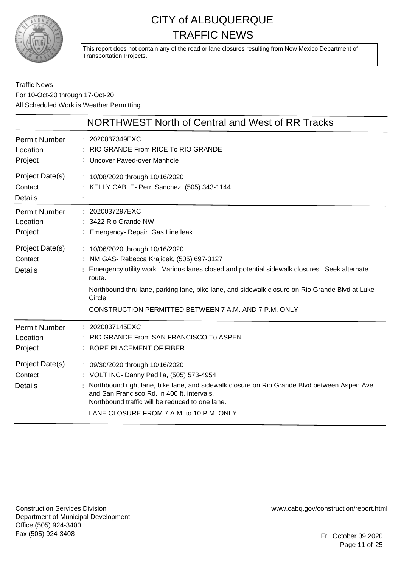

This report does not contain any of the road or lane closures resulting from New Mexico Department of Transportation Projects.

### Traffic News For 10-Oct-20 through 17-Oct-20 All Scheduled Work is Weather Permitting

|                                              | NORTHWEST North of Central and West of RR Tracks                                                                                                                                                                                                                                                                                                              |
|----------------------------------------------|---------------------------------------------------------------------------------------------------------------------------------------------------------------------------------------------------------------------------------------------------------------------------------------------------------------------------------------------------------------|
| <b>Permit Number</b><br>Location<br>Project  | : 2020037349EXC<br>RIO GRANDE From RICE To RIO GRANDE<br>: Uncover Paved-over Manhole                                                                                                                                                                                                                                                                         |
| Project Date(s)<br>Contact<br><b>Details</b> | : 10/08/2020 through 10/16/2020<br>: KELLY CABLE- Perri Sanchez, (505) 343-1144                                                                                                                                                                                                                                                                               |
| <b>Permit Number</b><br>Location<br>Project  | : 2020037297EXC<br>: 3422 Rio Grande NW<br>: Emergency- Repair Gas Line leak                                                                                                                                                                                                                                                                                  |
| Project Date(s)<br>Contact<br><b>Details</b> | : 10/06/2020 through 10/16/2020<br>: NM GAS- Rebecca Krajicek, (505) 697-3127<br>Emergency utility work. Various lanes closed and potential sidewalk closures. Seek alternate<br>route.<br>Northbound thru lane, parking lane, bike lane, and sidewalk closure on Rio Grande Blvd at Luke<br>Circle.<br>CONSTRUCTION PERMITTED BETWEEN 7 A.M. AND 7 P.M. ONLY |
| <b>Permit Number</b><br>Location<br>Project  | : 2020037145EXC<br>RIO GRANDE From SAN FRANCISCO To ASPEN<br><b>BORE PLACEMENT OF FIBER</b>                                                                                                                                                                                                                                                                   |
| Project Date(s)<br>Contact<br><b>Details</b> | : 09/30/2020 through 10/16/2020<br>: VOLT INC- Danny Padilla, (505) 573-4954<br>Northbound right lane, bike lane, and sidewalk closure on Rio Grande Blvd between Aspen Ave<br>and San Francisco Rd. in 400 ft. intervals.<br>Northbound traffic will be reduced to one lane.<br>LANE CLOSURE FROM 7 A.M. to 10 P.M. ONLY                                     |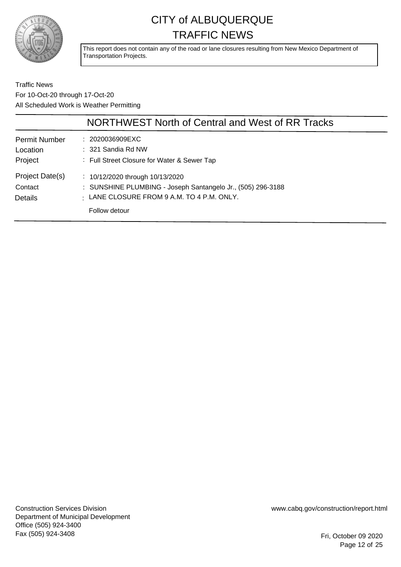

This report does not contain any of the road or lane closures resulting from New Mexico Department of Transportation Projects.

Traffic News For 10-Oct-20 through 17-Oct-20 All Scheduled Work is Weather Permitting

|                                              | NORTHWEST North of Central and West of RR Tracks                                                                                                                      |
|----------------------------------------------|-----------------------------------------------------------------------------------------------------------------------------------------------------------------------|
| <b>Permit Number</b><br>Location<br>Project  | : 2020036909EXC<br>$: 321$ Sandia Rd NW<br>: Full Street Closure for Water & Sewer Tap                                                                                |
| Project Date(s)<br>Contact<br><b>Details</b> | : $10/12/2020$ through $10/13/2020$<br>: SUNSHINE PLUMBING - Joseph Santangelo Jr., (505) 296-3188<br>$\pm$ LANE CLOSURE FROM 9 A.M. TO 4 P.M. ONLY.<br>Follow detour |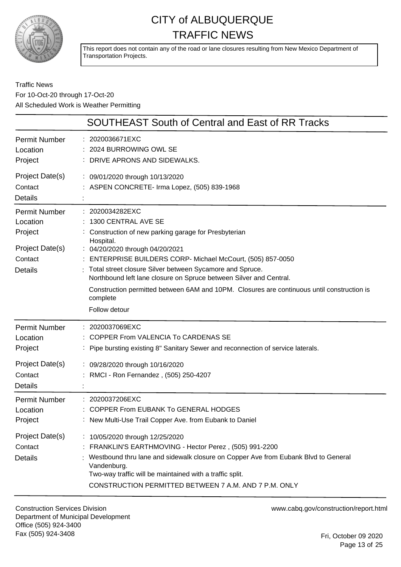

This report does not contain any of the road or lane closures resulting from New Mexico Department of Transportation Projects.

Traffic News For 10-Oct-20 through 17-Oct-20 All Scheduled Work is Weather Permitting

|                                                                                      | <b>SOUTHEAST South of Central and East of RR Tracks</b>                                                                                                                                                                                                                                                                                                                                                                                                                 |
|--------------------------------------------------------------------------------------|-------------------------------------------------------------------------------------------------------------------------------------------------------------------------------------------------------------------------------------------------------------------------------------------------------------------------------------------------------------------------------------------------------------------------------------------------------------------------|
| Permit Number<br>Location<br>Project                                                 | 2020036671EXC<br>2024 BURROWING OWL SE<br>DRIVE APRONS AND SIDEWALKS.                                                                                                                                                                                                                                                                                                                                                                                                   |
| Project Date(s)<br>Contact<br><b>Details</b>                                         | : 09/01/2020 through 10/13/2020<br>: ASPEN CONCRETE- Irma Lopez, (505) 839-1968                                                                                                                                                                                                                                                                                                                                                                                         |
| Permit Number<br>Location<br>Project<br>Project Date(s)<br>Contact<br><b>Details</b> | 2020034282EXC<br>1300 CENTRAL AVE SE<br>Construction of new parking garage for Presbyterian<br>Hospital.<br>: 04/20/2020 through 04/20/2021<br>: ENTERPRISE BUILDERS CORP- Michael McCourt, (505) 857-0050<br>Total street closure Silver between Sycamore and Spruce.<br>Northbound left lane closure on Spruce between Silver and Central.<br>Construction permitted between 6AM and 10PM. Closures are continuous until construction is<br>complete<br>Follow detour |
| <b>Permit Number</b><br>Location<br>Project<br>Project Date(s)<br>Contact            | 2020037069EXC<br>COPPER From VALENCIA To CARDENAS SE<br>Pipe bursting existing 8" Sanitary Sewer and reconnection of service laterals.<br>: 09/28/2020 through 10/16/2020<br>RMCI - Ron Fernandez, (505) 250-4207                                                                                                                                                                                                                                                       |
| <b>Details</b><br><b>Permit Number</b><br>Location<br>Project                        | 2020037206EXC<br><b>COPPER From EUBANK To GENERAL HODGES</b><br>New Multi-Use Trail Copper Ave. from Eubank to Daniel                                                                                                                                                                                                                                                                                                                                                   |
| Project Date(s)<br>Contact<br><b>Details</b>                                         | : 10/05/2020 through 12/25/2020<br>: FRANKLIN'S EARTHMOVING - Hector Perez, (505) 991-2200<br>Westbound thru lane and sidewalk closure on Copper Ave from Eubank Blvd to General<br>Vandenburg.<br>Two-way traffic will be maintained with a traffic split.<br>CONSTRUCTION PERMITTED BETWEEN 7 A.M. AND 7 P.M. ONLY                                                                                                                                                    |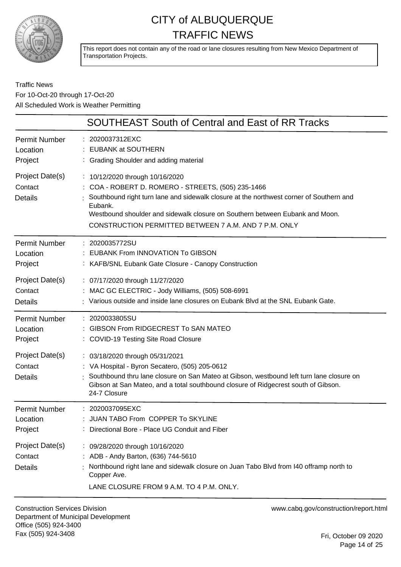

This report does not contain any of the road or lane closures resulting from New Mexico Department of Transportation Projects.

Traffic News For 10-Oct-20 through 17-Oct-20 All Scheduled Work is Weather Permitting

|                                              | <b>SOUTHEAST South of Central and East of RR Tracks</b>                                                                                                                                                                                                                                                                              |
|----------------------------------------------|--------------------------------------------------------------------------------------------------------------------------------------------------------------------------------------------------------------------------------------------------------------------------------------------------------------------------------------|
| <b>Permit Number</b>                         | : 2020037312EXC                                                                                                                                                                                                                                                                                                                      |
| Location                                     | <b>EUBANK at SOUTHERN</b>                                                                                                                                                                                                                                                                                                            |
| Project                                      | : Grading Shoulder and adding material                                                                                                                                                                                                                                                                                               |
| Project Date(s)<br>Contact<br><b>Details</b> | : 10/12/2020 through 10/16/2020<br>: COA - ROBERT D. ROMERO - STREETS, (505) 235-1466<br>Southbound right turn lane and sidewalk closure at the northwest corner of Southern and<br>Eubank.<br>Westbound shoulder and sidewalk closure on Southern between Eubank and Moon.<br>CONSTRUCTION PERMITTED BETWEEN 7 A.M. AND 7 P.M. ONLY |
| Permit Number                                | : 2020035772SU                                                                                                                                                                                                                                                                                                                       |
| Location                                     | <b>EUBANK From INNOVATION To GIBSON</b>                                                                                                                                                                                                                                                                                              |
| Project                                      | : KAFB/SNL Eubank Gate Closure - Canopy Construction                                                                                                                                                                                                                                                                                 |
| Project Date(s)                              | : 07/17/2020 through 11/27/2020                                                                                                                                                                                                                                                                                                      |
| Contact                                      | : MAC GC ELECTRIC - Jody Williams, (505) 508-6991                                                                                                                                                                                                                                                                                    |
| <b>Details</b>                               | : Various outside and inside lane closures on Eubank Blvd at the SNL Eubank Gate.                                                                                                                                                                                                                                                    |
| Permit Number                                | : 2020033805SU                                                                                                                                                                                                                                                                                                                       |
| Location                                     | GIBSON From RIDGECREST To SAN MATEO                                                                                                                                                                                                                                                                                                  |
| Project                                      | : COVID-19 Testing Site Road Closure                                                                                                                                                                                                                                                                                                 |
| Project Date(s)<br>Contact<br><b>Details</b> | : 03/18/2020 through 05/31/2021<br>: VA Hospital - Byron Secatero, (505) 205-0612<br>Southbound thru lane closure on San Mateo at Gibson, westbound left turn lane closure on<br>Gibson at San Mateo, and a total southbound closure of Ridgecrest south of Gibson.<br>24-7 Closure                                                  |
| Permit Number                                | : 2020037095EXC                                                                                                                                                                                                                                                                                                                      |
| Location                                     | : JUAN TABO From COPPER To SKYLINE                                                                                                                                                                                                                                                                                                   |
| Project                                      | : Directional Bore - Place UG Conduit and Fiber                                                                                                                                                                                                                                                                                      |
| Project Date(s)<br>Contact<br><b>Details</b> | : 09/28/2020 through 10/16/2020<br>: ADB - Andy Barton, (636) 744-5610<br>Northbound right lane and sidewalk closure on Juan Tabo Blvd from I40 offramp north to<br>Copper Ave.<br>LANE CLOSURE FROM 9 A.M. TO 4 P.M. ONLY.                                                                                                          |

Construction Services Division Department of Municipal Development Office (505) 924-3400 Fax (505) 924-3408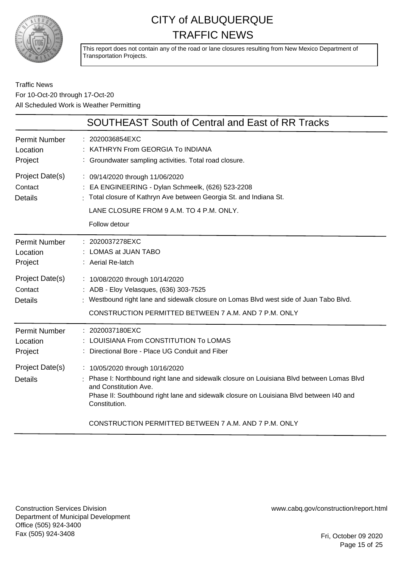

This report does not contain any of the road or lane closures resulting from New Mexico Department of Transportation Projects.

### Traffic News For 10-Oct-20 through 17-Oct-20 All Scheduled Work is Weather Permitting

|                                                         | <b>SOUTHEAST South of Central and East of RR Tracks</b>                                                                                                                                                                                                                               |
|---------------------------------------------------------|---------------------------------------------------------------------------------------------------------------------------------------------------------------------------------------------------------------------------------------------------------------------------------------|
| <b>Permit Number</b><br>Location<br>Project             | : 2020036854EXC<br>KATHRYN From GEORGIA To INDIANA<br>: Groundwater sampling activities. Total road closure.                                                                                                                                                                          |
| Project Date(s)<br>Contact<br><b>Details</b>            | : 09/14/2020 through 11/06/2020<br>: EA ENGINEERING - Dylan Schmeelk, (626) 523-2208<br>: Total closure of Kathryn Ave between Georgia St. and Indiana St.<br>LANE CLOSURE FROM 9 A.M. TO 4 P.M. ONLY.<br>Follow detour                                                               |
| <b>Permit Number</b><br>Location<br>Project             | : 2020037278EXC<br>: LOMAS at JUAN TABO<br>: Aerial Re-latch                                                                                                                                                                                                                          |
| Project Date(s)<br>Contact<br><b>Details</b>            | : 10/08/2020 through 10/14/2020<br>: ADB - Eloy Velasques, (636) 303-7525<br>: Westbound right lane and sidewalk closure on Lomas Blvd west side of Juan Tabo Blvd.<br>CONSTRUCTION PERMITTED BETWEEN 7 A.M. AND 7 P.M. ONLY                                                          |
| Permit Number<br>Location<br>Project<br>Project Date(s) | 2020037180EXC<br>LOUISIANA From CONSTITUTION To LOMAS<br>Directional Bore - Place UG Conduit and Fiber<br>: 10/05/2020 through 10/16/2020                                                                                                                                             |
| <b>Details</b>                                          | Phase I: Northbound right lane and sidewalk closure on Louisiana Blvd between Lomas Blvd<br>and Constitution Ave.<br>Phase II: Southbound right lane and sidewalk closure on Louisiana Blvd between I40 and<br>Constitution.<br>CONSTRUCTION PERMITTED BETWEEN 7 A.M. AND 7 P.M. ONLY |
|                                                         |                                                                                                                                                                                                                                                                                       |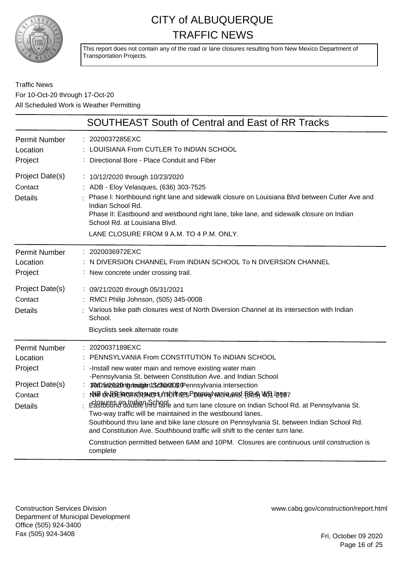

This report does not contain any of the road or lane closures resulting from New Mexico Department of Transportation Projects.

### Traffic News For 10-Oct-20 through 17-Oct-20 All Scheduled Work is Weather Permitting

|                                                                                             | <b>SOUTHEAST South of Central and East of RR Tracks</b>                                                                                                                                                                                                                                                                                                                                                                                                                                                                                                                                                                                                                                                                                                                                |
|---------------------------------------------------------------------------------------------|----------------------------------------------------------------------------------------------------------------------------------------------------------------------------------------------------------------------------------------------------------------------------------------------------------------------------------------------------------------------------------------------------------------------------------------------------------------------------------------------------------------------------------------------------------------------------------------------------------------------------------------------------------------------------------------------------------------------------------------------------------------------------------------|
| <b>Permit Number</b><br>Location<br>Project                                                 | 2020037285EXC<br>LOUISIANA From CUTLER To INDIAN SCHOOL<br>Directional Bore - Place Conduit and Fiber                                                                                                                                                                                                                                                                                                                                                                                                                                                                                                                                                                                                                                                                                  |
| Project Date(s)<br>Contact<br><b>Details</b>                                                | : 10/12/2020 through 10/23/2020<br>: ADB - Eloy Velasques, (636) 303-7525<br>: Phase I: Northbound right lane and sidewalk closure on Louisiana Blvd between Cutler Ave and<br>Indian School Rd.<br>Phase II: Eastbound and westbound right lane, bike lane, and sidewalk closure on Indian<br>School Rd. at Louisiana Blvd.<br>LANE CLOSURE FROM 9 A.M. TO 4 P.M. ONLY.                                                                                                                                                                                                                                                                                                                                                                                                               |
| <b>Permit Number</b><br>Location<br>Project                                                 | : 2020036972EXC<br>N DIVERSION CHANNEL From INDIAN SCHOOL To N DIVERSION CHANNEL<br>: New concrete under crossing trail.                                                                                                                                                                                                                                                                                                                                                                                                                                                                                                                                                                                                                                                               |
| Project Date(s)<br>Contact<br><b>Details</b>                                                | : 09/21/2020 through 05/31/2021<br>RMCI Philip Johnson, (505) 345-0008<br>: Various bike path closures west of North Diversion Channel at its intersection with Indian<br>School.<br>Bicyclists seek alternate route                                                                                                                                                                                                                                                                                                                                                                                                                                                                                                                                                                   |
| <b>Permit Number</b><br>Location<br>Project<br>Project Date(s)<br>Contact<br><b>Details</b> | : 2020037189EXC<br>PENNSYLVANIA From CONSTITUTION To INDIAN SCHOOL<br>: - Install new water main and remove existing water main<br>-Pennsylvania St. between Constitution Ave. and Indian School<br>: RedD5m2020htgrlondgam1ScB0d2020Pennsylvania intersection<br>NAP GNODER CORCUSNICS UTS LIFTING PERMANY VARIA AND FOOS AUCH LAMB7<br>relosures on Indian School and turn lane closure on Indian School Rd. at Pennsylvania St.<br>Two-way traffic will be maintained in the westbound lanes.<br>Southbound thru lane and bike lane closure on Pennsylvania St. between Indian School Rd.<br>and Constitution Ave. Southbound traffic will shift to the center turn lane.<br>Construction permitted between 6AM and 10PM. Closures are continuous until construction is<br>complete |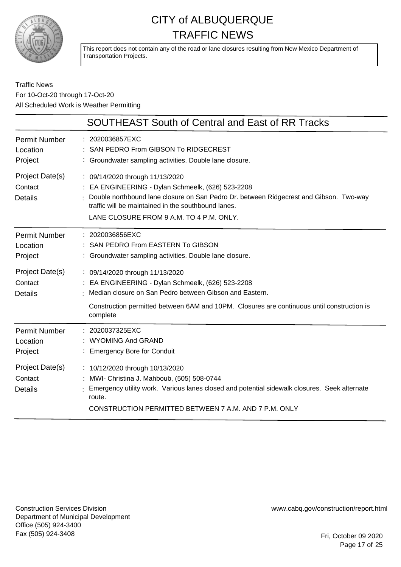

This report does not contain any of the road or lane closures resulting from New Mexico Department of Transportation Projects.

### Traffic News For 10-Oct-20 through 17-Oct-20 All Scheduled Work is Weather Permitting

|                                              | <b>SOUTHEAST South of Central and East of RR Tracks</b>                                                                                                                                                                                                                           |
|----------------------------------------------|-----------------------------------------------------------------------------------------------------------------------------------------------------------------------------------------------------------------------------------------------------------------------------------|
| <b>Permit Number</b><br>Location<br>Project  | : 2020036857EXC<br>SAN PEDRO From GIBSON To RIDGECREST<br>: Groundwater sampling activities. Double lane closure.                                                                                                                                                                 |
| Project Date(s)<br>Contact<br><b>Details</b> | : 09/14/2020 through 11/13/2020<br>: EA ENGINEERING - Dylan Schmeelk, (626) 523-2208<br>Double northbound lane closure on San Pedro Dr. between Ridgecrest and Gibson. Two-way<br>traffic will be maintained in the southbound lanes.<br>LANE CLOSURE FROM 9 A.M. TO 4 P.M. ONLY. |
| <b>Permit Number</b><br>Location<br>Project  | : 2020036856EXC<br>SAN PEDRO From EASTERN To GIBSON<br>: Groundwater sampling activities. Double lane closure.                                                                                                                                                                    |
| Project Date(s)<br>Contact<br><b>Details</b> | : 09/14/2020 through 11/13/2020<br>: EA ENGINEERING - Dylan Schmeelk, (626) 523-2208<br>Median closure on San Pedro between Gibson and Eastern.<br>Construction permitted between 6AM and 10PM. Closures are continuous until construction is<br>complete                         |
| <b>Permit Number</b><br>Location<br>Project  | : 2020037325EXC<br><b>WYOMING And GRAND</b><br>: Emergency Bore for Conduit                                                                                                                                                                                                       |
| Project Date(s)<br>Contact<br><b>Details</b> | : 10/12/2020 through 10/13/2020<br>: MWI- Christina J. Mahboub, (505) 508-0744<br>Emergency utility work. Various lanes closed and potential sidewalk closures. Seek alternate<br>route.<br>CONSTRUCTION PERMITTED BETWEEN 7 A.M. AND 7 P.M. ONLY                                 |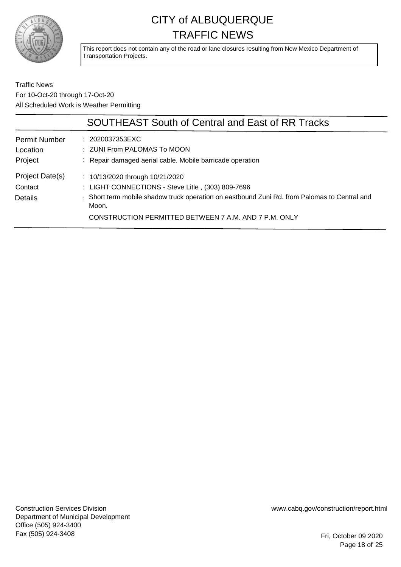

This report does not contain any of the road or lane closures resulting from New Mexico Department of Transportation Projects.

Traffic News For 10-Oct-20 through 17-Oct-20 All Scheduled Work is Weather Permitting

|                                  | <b>SOUTHEAST South of Central and East of RR Tracks</b>                                               |
|----------------------------------|-------------------------------------------------------------------------------------------------------|
| <b>Permit Number</b><br>Location | : 2020037353EXC<br>: ZUNI From PALOMAS To MOON                                                        |
| Project<br>Project Date(s)       | : Repair damaged aerial cable. Mobile barricade operation<br>: $10/13/2020$ through $10/21/2020$      |
|                                  |                                                                                                       |
| Contact                          | : LIGHT CONNECTIONS - Steve Litle, (303) 809-7696                                                     |
| <b>Details</b>                   | : Short term mobile shadow truck operation on eastbound Zuni Rd. from Palomas to Central and<br>Moon. |
|                                  | CONSTRUCTION PERMITTED BETWEEN 7 A.M. AND 7 P.M. ONLY                                                 |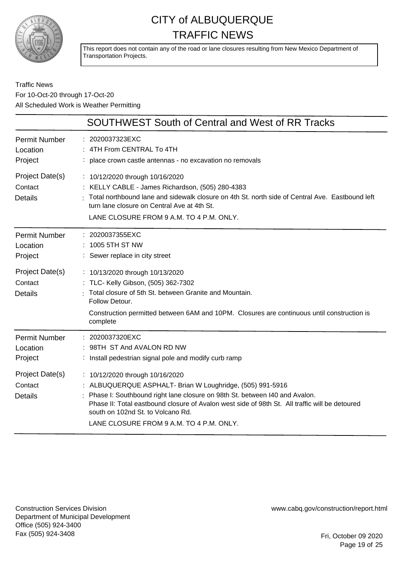

This report does not contain any of the road or lane closures resulting from New Mexico Department of Transportation Projects.

### Traffic News For 10-Oct-20 through 17-Oct-20 All Scheduled Work is Weather Permitting

|                                              | <b>SOUTHWEST South of Central and West of RR Tracks</b>                                                                                                                                                                                                                                                                                                         |
|----------------------------------------------|-----------------------------------------------------------------------------------------------------------------------------------------------------------------------------------------------------------------------------------------------------------------------------------------------------------------------------------------------------------------|
| <b>Permit Number</b><br>Location<br>Project  | : 2020037323EXC<br>: 4TH From CENTRAL To 4TH<br>: place crown castle antennas - no excavation no removals                                                                                                                                                                                                                                                       |
| Project Date(s)<br>Contact<br><b>Details</b> | : 10/12/2020 through 10/16/2020<br>: KELLY CABLE - James Richardson, (505) 280-4383<br>: Total northbound lane and sidewalk closure on 4th St. north side of Central Ave. Eastbound left<br>turn lane closure on Central Ave at 4th St.<br>LANE CLOSURE FROM 9 A.M. TO 4 P.M. ONLY.                                                                             |
| <b>Permit Number</b><br>Location<br>Project  | 2020037355EXC<br>: 1005 5TH ST NW<br>: Sewer replace in city street                                                                                                                                                                                                                                                                                             |
| Project Date(s)<br>Contact<br><b>Details</b> | : 10/13/2020 through 10/13/2020<br>: TLC- Kelly Gibson, (505) 362-7302<br>Total closure of 5th St. between Granite and Mountain.<br>Follow Detour.<br>Construction permitted between 6AM and 10PM. Closures are continuous until construction is<br>complete                                                                                                    |
| <b>Permit Number</b><br>Location<br>Project  | : 2020037320EXC<br>: 98TH ST And AVALON RD NW<br>: Install pedestrian signal pole and modify curb ramp                                                                                                                                                                                                                                                          |
| Project Date(s)<br>Contact<br><b>Details</b> | : 10/12/2020 through 10/16/2020<br>: ALBUQUERQUE ASPHALT- Brian W Loughridge, (505) 991-5916<br>: Phase I: Southbound right lane closure on 98th St. between I40 and Avalon.<br>Phase II: Total eastbound closure of Avalon west side of 98th St. All traffic will be detoured<br>south on 102nd St. to Volcano Rd.<br>LANE CLOSURE FROM 9 A.M. TO 4 P.M. ONLY. |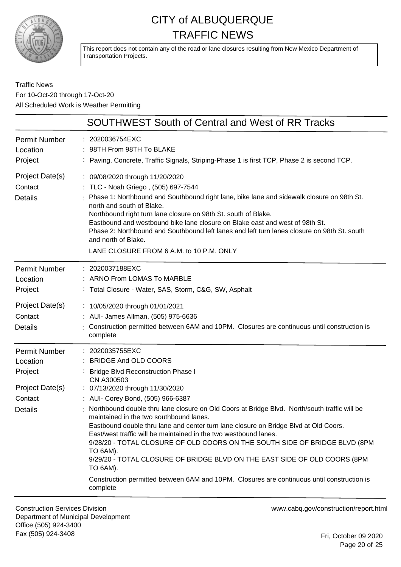

This report does not contain any of the road or lane closures resulting from New Mexico Department of Transportation Projects.

### Traffic News For 10-Oct-20 through 17-Oct-20 All Scheduled Work is Weather Permitting

|                                                                                             | <b>SOUTHWEST South of Central and West of RR Tracks</b>                                                                                                                                                                                                                                                                                                                                                                                                                                                                                                                                                                                                                                                                                                                               |
|---------------------------------------------------------------------------------------------|---------------------------------------------------------------------------------------------------------------------------------------------------------------------------------------------------------------------------------------------------------------------------------------------------------------------------------------------------------------------------------------------------------------------------------------------------------------------------------------------------------------------------------------------------------------------------------------------------------------------------------------------------------------------------------------------------------------------------------------------------------------------------------------|
| <b>Permit Number</b><br>Location<br>Project                                                 | : 2020036754EXC<br>: 98TH From 98TH To BLAKE<br>: Paving, Concrete, Traffic Signals, Striping-Phase 1 is first TCP, Phase 2 is second TCP.                                                                                                                                                                                                                                                                                                                                                                                                                                                                                                                                                                                                                                            |
| Project Date(s)<br>Contact<br><b>Details</b>                                                | : 09/08/2020 through 11/20/2020<br>: TLC - Noah Griego, (505) 697-7544<br>Phase 1: Northbound and Southbound right lane, bike lane and sidewalk closure on 98th St.<br>north and south of Blake.<br>Northbound right turn lane closure on 98th St. south of Blake.<br>Eastbound and westbound bike lane closure on Blake east and west of 98th St.<br>Phase 2: Northbound and Southbound left lanes and left turn lanes closure on 98th St. south<br>and north of Blake.<br>LANE CLOSURE FROM 6 A.M. to 10 P.M. ONLY                                                                                                                                                                                                                                                                  |
| <b>Permit Number</b><br>Location<br>Project                                                 | : 2020037188EXC<br>: ARNO From LOMAS To MARBLE<br>: Total Closure - Water, SAS, Storm, C&G, SW, Asphalt                                                                                                                                                                                                                                                                                                                                                                                                                                                                                                                                                                                                                                                                               |
| Project Date(s)<br>Contact<br><b>Details</b>                                                | : 10/05/2020 through 01/01/2021<br>: AUI- James Allman, (505) 975-6636<br>: Construction permitted between 6AM and 10PM. Closures are continuous until construction is<br>complete                                                                                                                                                                                                                                                                                                                                                                                                                                                                                                                                                                                                    |
| <b>Permit Number</b><br>Location<br>Project<br>Project Date(s)<br>Contact<br><b>Details</b> | : 2020035755EXC<br><b>BRIDGE And OLD COORS</b><br><b>Bridge Blvd Reconstruction Phase I</b><br>CN A300503<br>: 07/13/2020 through 11/30/2020<br>: AUI- Corey Bond, (505) 966-6387<br>Northbound double thru lane closure on Old Coors at Bridge Blvd. North/south traffic will be<br>maintained in the two southbound lanes.<br>Eastbound double thru lane and center turn lane closure on Bridge Blvd at Old Coors.<br>East/west traffic will be maintained in the two westbound lanes.<br>9/28/20 - TOTAL CLOSURE OF OLD COORS ON THE SOUTH SIDE OF BRIDGE BLVD (8PM<br>TO 6AM).<br>9/29/20 - TOTAL CLOSURE OF BRIDGE BLVD ON THE EAST SIDE OF OLD COORS (8PM<br>TO 6AM).<br>Construction permitted between 6AM and 10PM. Closures are continuous until construction is<br>complete |

Construction Services Division Department of Municipal Development Office (505) 924-3400 Fax (505) 924-3408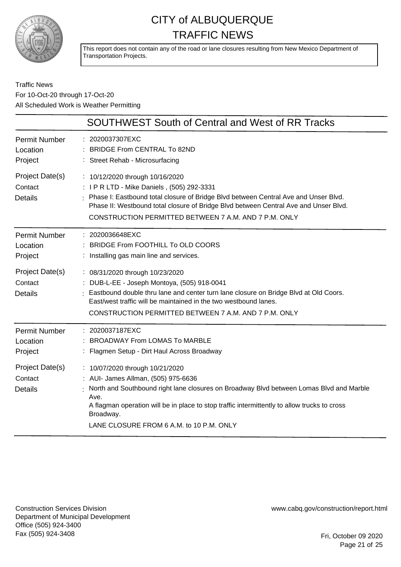

This report does not contain any of the road or lane closures resulting from New Mexico Department of Transportation Projects.

### Traffic News For 10-Oct-20 through 17-Oct-20 All Scheduled Work is Weather Permitting

|                                                                                             | SOUTHWEST South of Central and West of RR Tracks                                                                                                                                                                                                                                                                                                                                                          |
|---------------------------------------------------------------------------------------------|-----------------------------------------------------------------------------------------------------------------------------------------------------------------------------------------------------------------------------------------------------------------------------------------------------------------------------------------------------------------------------------------------------------|
| <b>Permit Number</b><br>Location<br>Project                                                 | : 2020037307EXC<br>: BRIDGE From CENTRAL To 82ND<br>: Street Rehab - Microsurfacing                                                                                                                                                                                                                                                                                                                       |
| Project Date(s)<br>Contact<br>Details                                                       | : 10/12/2020 through 10/16/2020<br>: IPR LTD - Mike Daniels, (505) 292-3331<br>: Phase I: Eastbound total closure of Bridge Blvd between Central Ave and Unser Blvd.<br>Phase II: Westbound total closure of Bridge Blvd between Central Ave and Unser Blvd.<br>CONSTRUCTION PERMITTED BETWEEN 7 A.M. AND 7 P.M. ONLY                                                                                     |
| <b>Permit Number</b><br>Location<br>Project<br>Project Date(s)<br>Contact<br>Details        | : 2020036648EXC<br>BRIDGE From FOOTHILL To OLD COORS<br>: Installing gas main line and services.<br>: 08/31/2020 through 10/23/2020<br>: DUB-L-EE - Joseph Montoya, (505) 918-0041<br>: Eastbound double thru lane and center turn lane closure on Bridge Blvd at Old Coors.<br>East/west traffic will be maintained in the two westbound lanes.<br>CONSTRUCTION PERMITTED BETWEEN 7 A.M. AND 7 P.M. ONLY |
| <b>Permit Number</b><br>Location<br>Project<br>Project Date(s)<br>Contact<br><b>Details</b> | : 2020037187EXC<br>: BROADWAY From LOMAS To MARBLE<br>: Flagmen Setup - Dirt Haul Across Broadway<br>: 10/07/2020 through 10/21/2020<br>: AUI- James Allman, (505) 975-6636                                                                                                                                                                                                                               |
|                                                                                             | North and Southbound right lane closures on Broadway Blvd between Lomas Blvd and Marble<br>Ave.<br>A flagman operation will be in place to stop traffic intermittently to allow trucks to cross<br>Broadway.<br>LANE CLOSURE FROM 6 A.M. to 10 P.M. ONLY                                                                                                                                                  |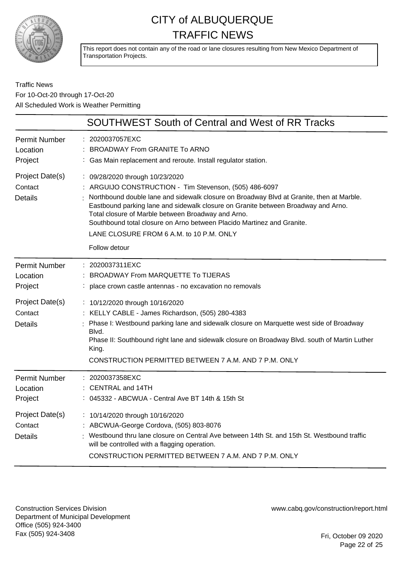

This report does not contain any of the road or lane closures resulting from New Mexico Department of Transportation Projects.

### Traffic News For 10-Oct-20 through 17-Oct-20 All Scheduled Work is Weather Permitting

|                                              | <b>SOUTHWEST South of Central and West of RR Tracks</b>                                                                                                                                                                                                                                                                                                                                                                                                                 |
|----------------------------------------------|-------------------------------------------------------------------------------------------------------------------------------------------------------------------------------------------------------------------------------------------------------------------------------------------------------------------------------------------------------------------------------------------------------------------------------------------------------------------------|
| <b>Permit Number</b><br>Location<br>Project  | : 2020037057EXC<br>BROADWAY From GRANITE To ARNO<br>: Gas Main replacement and reroute. Install regulator station.                                                                                                                                                                                                                                                                                                                                                      |
| Project Date(s)<br>Contact<br><b>Details</b> | : 09/28/2020 through 10/23/2020<br>: ARGUIJO CONSTRUCTION - Tim Stevenson, (505) 486-6097<br>Northbound double lane and sidewalk closure on Broadway Blvd at Granite, then at Marble.<br>Eastbound parking lane and sidewalk closure on Granite between Broadway and Arno.<br>Total closure of Marble between Broadway and Arno.<br>Southbound total closure on Arno between Placido Martinez and Granite.<br>LANE CLOSURE FROM 6 A.M. to 10 P.M. ONLY<br>Follow detour |
| <b>Permit Number</b><br>Location<br>Project  | 2020037311EXC<br><b>BROADWAY From MARQUETTE To TIJERAS</b><br>: place crown castle antennas - no excavation no removals                                                                                                                                                                                                                                                                                                                                                 |
| Project Date(s)<br>Contact<br><b>Details</b> | : 10/12/2020 through 10/16/2020<br>: KELLY CABLE - James Richardson, (505) 280-4383<br>Phase I: Westbound parking lane and sidewalk closure on Marquette west side of Broadway<br>Blvd.<br>Phase II: Southbound right lane and sidewalk closure on Broadway Blvd. south of Martin Luther<br>King.<br>CONSTRUCTION PERMITTED BETWEEN 7 A.M. AND 7 P.M. ONLY                                                                                                              |
| <b>Permit Number</b><br>Location<br>Project  | : 2020037358EXC<br>: CENTRAL and 14TH<br>045332 - ABCWUA - Central Ave BT 14th & 15th St                                                                                                                                                                                                                                                                                                                                                                                |
| Project Date(s)<br>Contact<br>Details        | : 10/14/2020 through 10/16/2020<br>: ABCWUA-George Cordova, (505) 803-8076<br>: Westbound thru lane closure on Central Ave between 14th St. and 15th St. Westbound traffic<br>will be controlled with a flagging operation.<br>CONSTRUCTION PERMITTED BETWEEN 7 A.M. AND 7 P.M. ONLY                                                                                                                                                                                    |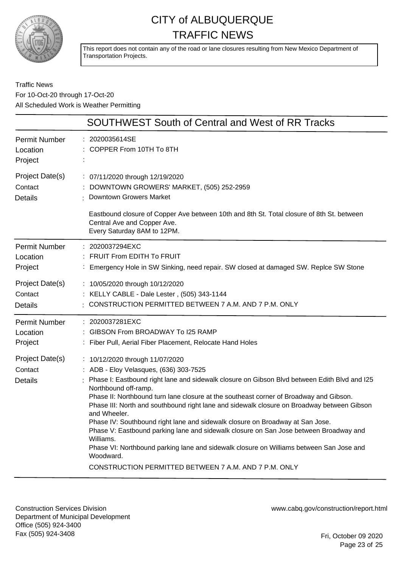

This report does not contain any of the road or lane closures resulting from New Mexico Department of Transportation Projects.

### Traffic News For 10-Oct-20 through 17-Oct-20 All Scheduled Work is Weather Permitting

|                                                                                             | <b>SOUTHWEST South of Central and West of RR Tracks</b>                                                                                                                                                                                                                                                                                                                                                                                                                                                                                                                                                                                                                                                                                                                                                                                                                                 |
|---------------------------------------------------------------------------------------------|-----------------------------------------------------------------------------------------------------------------------------------------------------------------------------------------------------------------------------------------------------------------------------------------------------------------------------------------------------------------------------------------------------------------------------------------------------------------------------------------------------------------------------------------------------------------------------------------------------------------------------------------------------------------------------------------------------------------------------------------------------------------------------------------------------------------------------------------------------------------------------------------|
| <b>Permit Number</b><br>Location<br>Project                                                 | 2020035614SE<br>COPPER From 10TH To 8TH                                                                                                                                                                                                                                                                                                                                                                                                                                                                                                                                                                                                                                                                                                                                                                                                                                                 |
| Project Date(s)<br>Contact<br><b>Details</b>                                                | : 07/11/2020 through 12/19/2020<br>DOWNTOWN GROWERS' MARKET, (505) 252-2959<br><b>Downtown Growers Market</b><br>Eastbound closure of Copper Ave between 10th and 8th St. Total closure of 8th St. between<br>Central Ave and Copper Ave.<br>Every Saturday 8AM to 12PM.                                                                                                                                                                                                                                                                                                                                                                                                                                                                                                                                                                                                                |
| <b>Permit Number</b><br>Location<br>Project                                                 | : 2020037294EXC<br><b>FRUIT From EDITH To FRUIT</b><br>Emergency Hole in SW Sinking, need repair. SW closed at damaged SW. Replce SW Stone                                                                                                                                                                                                                                                                                                                                                                                                                                                                                                                                                                                                                                                                                                                                              |
| Project Date(s)<br>Contact<br><b>Details</b>                                                | : 10/05/2020 through 10/12/2020<br>KELLY CABLE - Dale Lester, (505) 343-1144<br>CONSTRUCTION PERMITTED BETWEEN 7 A.M. AND 7 P.M. ONLY                                                                                                                                                                                                                                                                                                                                                                                                                                                                                                                                                                                                                                                                                                                                                   |
| <b>Permit Number</b><br>Location<br>Project<br>Project Date(s)<br>Contact<br><b>Details</b> | : 2020037281EXC<br>: GIBSON From BROADWAY To I25 RAMP<br>: Fiber Pull, Aerial Fiber Placement, Relocate Hand Holes<br>: 10/12/2020 through 11/07/2020<br>: ADB - Eloy Velasques, (636) 303-7525<br>Phase I: Eastbound right lane and sidewalk closure on Gibson Blvd between Edith Blvd and I25<br>Northbound off-ramp.<br>Phase II: Northbound turn lane closure at the southeast corner of Broadway and Gibson.<br>Phase III: North and southbound right lane and sidewalk closure on Broadway between Gibson<br>and Wheeler.<br>Phase IV: Southbound right lane and sidewalk closure on Broadway at San Jose.<br>Phase V: Eastbound parking lane and sidewalk closure on San Jose between Broadway and<br>Williams.<br>Phase VI: Northbound parking lane and sidewalk closure on Williams between San Jose and<br>Woodward.<br>CONSTRUCTION PERMITTED BETWEEN 7 A.M. AND 7 P.M. ONLY |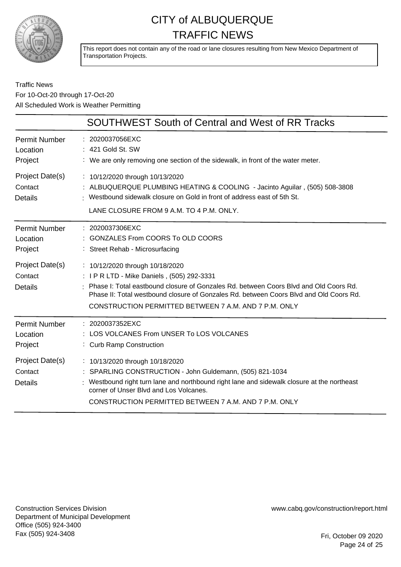

This report does not contain any of the road or lane closures resulting from New Mexico Department of Transportation Projects.

### Traffic News For 10-Oct-20 through 17-Oct-20 All Scheduled Work is Weather Permitting

|                                              | <b>SOUTHWEST South of Central and West of RR Tracks</b>                                                                                                                                                                                                                                                                     |
|----------------------------------------------|-----------------------------------------------------------------------------------------------------------------------------------------------------------------------------------------------------------------------------------------------------------------------------------------------------------------------------|
| <b>Permit Number</b><br>Location<br>Project  | : 2020037056EXC<br>: 421 Gold St. SW<br>: We are only removing one section of the sidewalk, in front of the water meter.                                                                                                                                                                                                    |
| Project Date(s)<br>Contact<br>Details        | : 10/12/2020 through 10/13/2020<br>: ALBUQUERQUE PLUMBING HEATING & COOLING - Jacinto Aguilar, (505) 508-3808<br>: Westbound sidewalk closure on Gold in front of address east of 5th St.<br>LANE CLOSURE FROM 9 A.M. TO 4 P.M. ONLY.                                                                                       |
| <b>Permit Number</b><br>Location<br>Project  | $: 2020037306$ EXC<br><b>GONZALES From COORS To OLD COORS</b><br>: Street Rehab - Microsurfacing                                                                                                                                                                                                                            |
| Project Date(s)<br>Contact<br><b>Details</b> | : 10/12/2020 through 10/18/2020<br>: I P R LTD - Mike Daniels, (505) 292-3331<br>: Phase I: Total eastbound closure of Gonzales Rd. between Coors Blvd and Old Coors Rd.<br>Phase II: Total westbound closure of Gonzales Rd. between Coors Blyd and Old Coors Rd.<br>CONSTRUCTION PERMITTED BETWEEN 7 A.M. AND 7 P.M. ONLY |
| <b>Permit Number</b><br>Location<br>Project  | : 2020037352EXC<br>: LOS VOLCANES From UNSER To LOS VOLCANES<br>: Curb Ramp Construction                                                                                                                                                                                                                                    |
| Project Date(s)<br>Contact<br><b>Details</b> | : 10/13/2020 through 10/18/2020<br>: SPARLING CONSTRUCTION - John Guldemann, (505) 821-1034<br>: Westbound right turn lane and northbound right lane and sidewalk closure at the northeast<br>corner of Unser Blyd and Los Volcanes.<br>CONSTRUCTION PERMITTED BETWEEN 7 A.M. AND 7 P.M. ONLY                               |